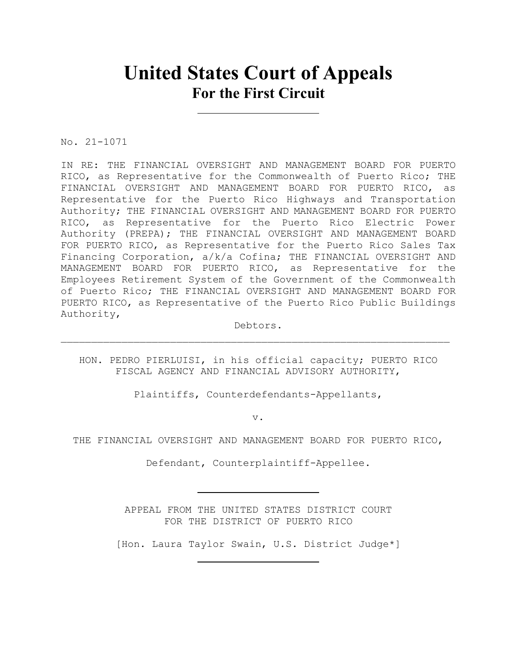# **United States Court of Appeals For the First Circuit**

No. 21-1071

IN RE: THE FINANCIAL OVERSIGHT AND MANAGEMENT BOARD FOR PUERTO RICO, as Representative for the Commonwealth of Puerto Rico; THE FINANCIAL OVERSIGHT AND MANAGEMENT BOARD FOR PUERTO RICO, as Representative for the Puerto Rico Highways and Transportation Authority; THE FINANCIAL OVERSIGHT AND MANAGEMENT BOARD FOR PUERTO RICO, as Representative for the Puerto Rico Electric Power Authority (PREPA); THE FINANCIAL OVERSIGHT AND MANAGEMENT BOARD FOR PUERTO RICO, as Representative for the Puerto Rico Sales Tax Financing Corporation, a/k/a Cofina; THE FINANCIAL OVERSIGHT AND MANAGEMENT BOARD FOR PUERTO RICO, as Representative for the Employees Retirement System of the Government of the Commonwealth of Puerto Rico; THE FINANCIAL OVERSIGHT AND MANAGEMENT BOARD FOR PUERTO RICO, as Representative of the Puerto Rico Public Buildings Authority,

Debtors.

HON. PEDRO PIERLUISI, in his official capacity; PUERTO RICO FISCAL AGENCY AND FINANCIAL ADVISORY AUTHORITY,

Plaintiffs, Counterdefendants-Appellants,

v.

THE FINANCIAL OVERSIGHT AND MANAGEMENT BOARD FOR PUERTO RICO,

Defendant, Counterplaintiff-Appellee.

APPEAL FROM THE UNITED STATES DISTRICT COURT FOR THE DISTRICT OF PUERTO RICO

[Hon. Laura Taylor Swain, U.S. District Judge\*]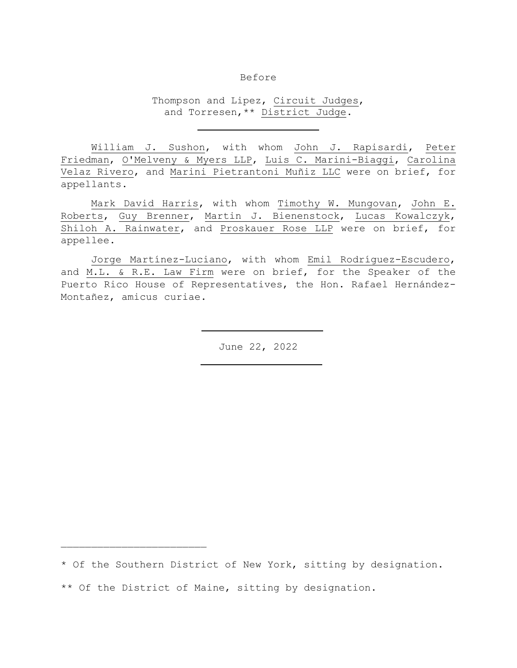### Before

Thompson and Lipez, Circuit Judges, and Torresen,\*\* District Judge.

William J. Sushon, with whom John J. Rapisardi, Peter Friedman, O'Melveny & Myers LLP, Luis C. Marini-Biaggi, Carolina Velaz Rivero, and Marini Pietrantoni Muñiz LLC were on brief, for appellants.

Mark David Harris, with whom Timothy W. Mungovan, John E. Roberts, Guy Brenner, Martin J. Bienenstock, Lucas Kowalczyk, Shiloh A. Rainwater, and Proskauer Rose LLP were on brief, for appellee.

Jorge Martínez-Luciano, with whom Emil Rodríguez-Escudero, and M.L. & R.E. Law Firm were on brief, for the Speaker of the Puerto Rico House of Representatives, the Hon. Rafael Hernández-Montañez, amicus curiae.

June 22, 2022

\* Of the Southern District of New York, sitting by designation.

\*\* Of the District of Maine, sitting by designation.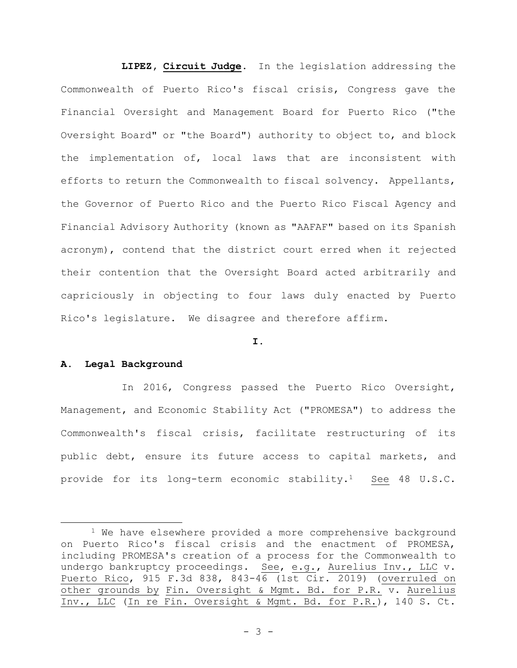**LIPEZ, Circuit Judge**. In the legislation addressing the Commonwealth of Puerto Rico's fiscal crisis, Congress gave the Financial Oversight and Management Board for Puerto Rico ("the Oversight Board" or "the Board") authority to object to, and block the implementation of, local laws that are inconsistent with efforts to return the Commonwealth to fiscal solvency. Appellants, the Governor of Puerto Rico and the Puerto Rico Fiscal Agency and Financial Advisory Authority (known as "AAFAF" based on its Spanish acronym), contend that the district court erred when it rejected their contention that the Oversight Board acted arbitrarily and capriciously in objecting to four laws duly enacted by Puerto Rico's legislature. We disagree and therefore affirm.

#### **I.**

### **A. Legal Background**

In 2016, Congress passed the Puerto Rico Oversight, Management, and Economic Stability Act ("PROMESA") to address the Commonwealth's fiscal crisis, facilitate restructuring of its public debt, ensure its future access to capital markets, and provide for its long-term economic stability.1 See 48 U.S.C.

<sup>&</sup>lt;sup>1</sup> We have elsewhere provided a more comprehensive background on Puerto Rico's fiscal crisis and the enactment of PROMESA, including PROMESA's creation of a process for the Commonwealth to undergo bankruptcy proceedings. See, e.g., Aurelius Inv., LLC v. Puerto Rico, 915 F.3d 838, 843-46 (1st Cir. 2019) (overruled on other grounds by Fin. Oversight & Mgmt. Bd. for P.R. v. Aurelius Inv., LLC (In re Fin. Oversight & Mgmt. Bd. for P.R.), 140 S. Ct.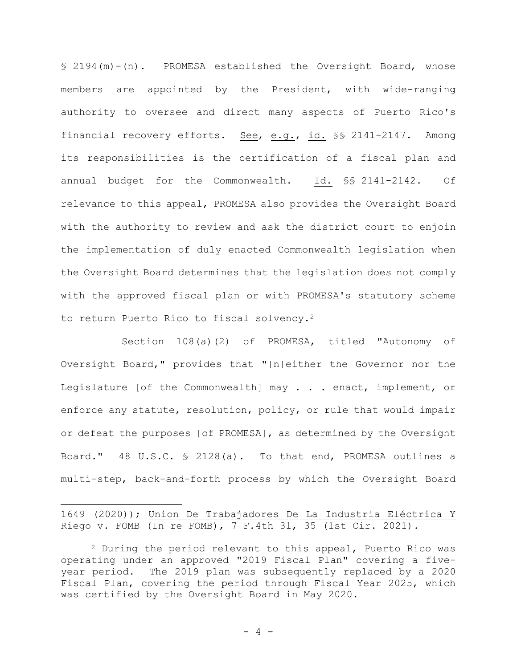§ 2194(m)-(n). PROMESA established the Oversight Board, whose members are appointed by the President, with wide-ranging authority to oversee and direct many aspects of Puerto Rico's financial recovery efforts. See, e.g., id. §§ 2141-2147. Among its responsibilities is the certification of a fiscal plan and annual budget for the Commonwealth. Id. §§ 2141-2142. Of relevance to this appeal, PROMESA also provides the Oversight Board with the authority to review and ask the district court to enjoin the implementation of duly enacted Commonwealth legislation when the Oversight Board determines that the legislation does not comply with the approved fiscal plan or with PROMESA's statutory scheme to return Puerto Rico to fiscal solvency.<sup>2</sup>

Section 108(a)(2) of PROMESA, titled "Autonomy of Oversight Board," provides that "[n]either the Governor nor the Legislature [of the Commonwealth] may . . . enact, implement, or enforce any statute, resolution, policy, or rule that would impair or defeat the purposes [of PROMESA], as determined by the Oversight Board." 48 U.S.C. § 2128(a). To that end, PROMESA outlines a multi-step, back-and-forth process by which the Oversight Board

1649 (2020)); Union De Trabajadores De La Industria Eléctrica Y Riego v. FOMB (In re FOMB), 7 F.4th 31, 35 (1st Cir. 2021).

<sup>2</sup> During the period relevant to this appeal, Puerto Rico was operating under an approved "2019 Fiscal Plan" covering a fiveyear period. The 2019 plan was subsequently replaced by a 2020 Fiscal Plan, covering the period through Fiscal Year 2025, which was certified by the Oversight Board in May 2020.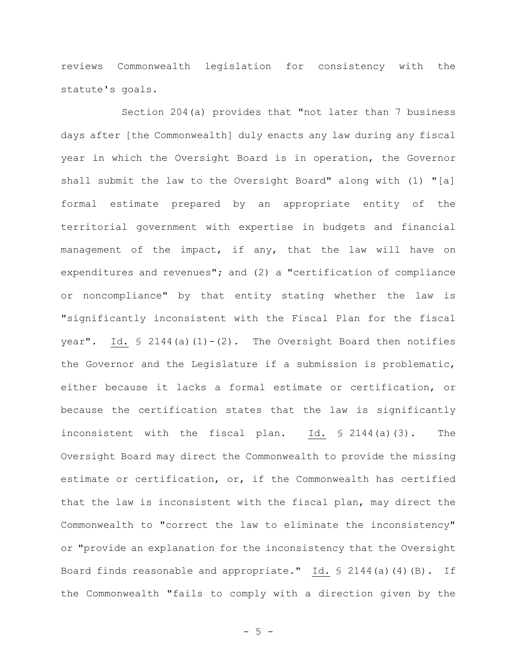reviews Commonwealth legislation for consistency with the statute's goals.

Section 204(a) provides that "not later than 7 business days after [the Commonwealth] duly enacts any law during any fiscal year in which the Oversight Board is in operation, the Governor shall submit the law to the Oversight Board" along with (1) "[a] formal estimate prepared by an appropriate entity of the territorial government with expertise in budgets and financial management of the impact, if any, that the law will have on expenditures and revenues"; and (2) a "certification of compliance or noncompliance" by that entity stating whether the law is "significantly inconsistent with the Fiscal Plan for the fiscal year". Id.  $\frac{1}{2}$  2144(a)(1)-(2). The Oversight Board then notifies the Governor and the Legislature if a submission is problematic, either because it lacks a formal estimate or certification, or because the certification states that the law is significantly inconsistent with the fiscal plan. Id. § 2144(a)(3). The Oversight Board may direct the Commonwealth to provide the missing estimate or certification, or, if the Commonwealth has certified that the law is inconsistent with the fiscal plan, may direct the Commonwealth to "correct the law to eliminate the inconsistency" or "provide an explanation for the inconsistency that the Oversight Board finds reasonable and appropriate." Id. § 2144(a)(4)(B). If the Commonwealth "fails to comply with a direction given by the

- 5 -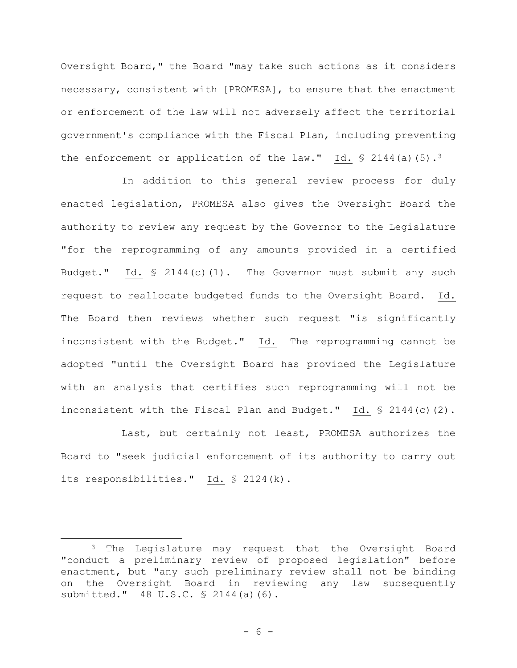Oversight Board," the Board "may take such actions as it considers necessary, consistent with [PROMESA], to ensure that the enactment or enforcement of the law will not adversely affect the territorial government's compliance with the Fiscal Plan, including preventing the enforcement or application of the law." Id.  $\frac{1}{5}$  2144(a)(5).<sup>3</sup>

In addition to this general review process for duly enacted legislation, PROMESA also gives the Oversight Board the authority to review any request by the Governor to the Legislature "for the reprogramming of any amounts provided in a certified Budget." Id.  $\frac{1}{2}$  2144(c)(1). The Governor must submit any such request to reallocate budgeted funds to the Oversight Board. Id. The Board then reviews whether such request "is significantly inconsistent with the Budget." Id. The reprogramming cannot be adopted "until the Oversight Board has provided the Legislature with an analysis that certifies such reprogramming will not be inconsistent with the Fiscal Plan and Budget." Id. § 2144(c)(2).

Last, but certainly not least, PROMESA authorizes the Board to "seek judicial enforcement of its authority to carry out its responsibilities." Id. § 2124(k).

<sup>&</sup>lt;sup>3</sup> The Legislature may request that the Oversight Board "conduct a preliminary review of proposed legislation" before enactment, but "any such preliminary review shall not be binding on the Oversight Board in reviewing any law subsequently submitted." 48 U.S.C. § 2144(a)(6).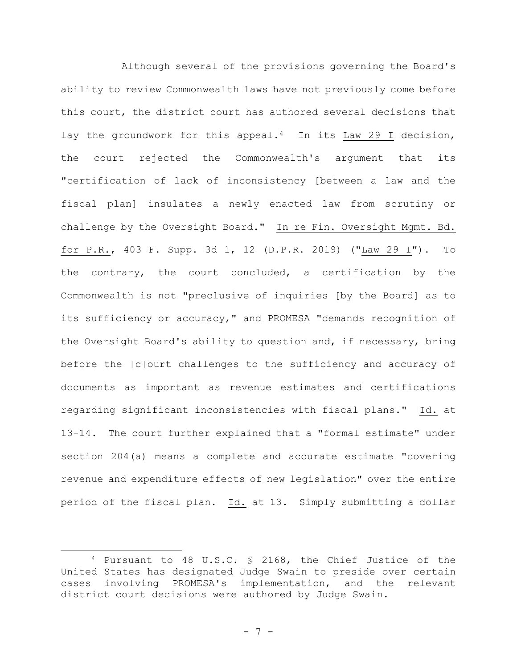Although several of the provisions governing the Board's ability to review Commonwealth laws have not previously come before this court, the district court has authored several decisions that lay the groundwork for this appeal.<sup>4</sup> In its Law 29 I decision, the court rejected the Commonwealth's argument that its "certification of lack of inconsistency [between a law and the fiscal plan] insulates a newly enacted law from scrutiny or challenge by the Oversight Board." In re Fin. Oversight Mgmt. Bd. for P.R., 403 F. Supp. 3d 1, 12 (D.P.R. 2019) ("Law 29 I"). To the contrary, the court concluded, a certification by the Commonwealth is not "preclusive of inquiries [by the Board] as to its sufficiency or accuracy," and PROMESA "demands recognition of the Oversight Board's ability to question and, if necessary, bring before the [c]ourt challenges to the sufficiency and accuracy of documents as important as revenue estimates and certifications regarding significant inconsistencies with fiscal plans." Id. at 13-14. The court further explained that a "formal estimate" under section 204(a) means a complete and accurate estimate "covering revenue and expenditure effects of new legislation" over the entire period of the fiscal plan. Id. at 13. Simply submitting a dollar

<sup>4</sup> Pursuant to 48 U.S.C. § 2168, the Chief Justice of the United States has designated Judge Swain to preside over certain cases involving PROMESA's implementation, and the relevant district court decisions were authored by Judge Swain.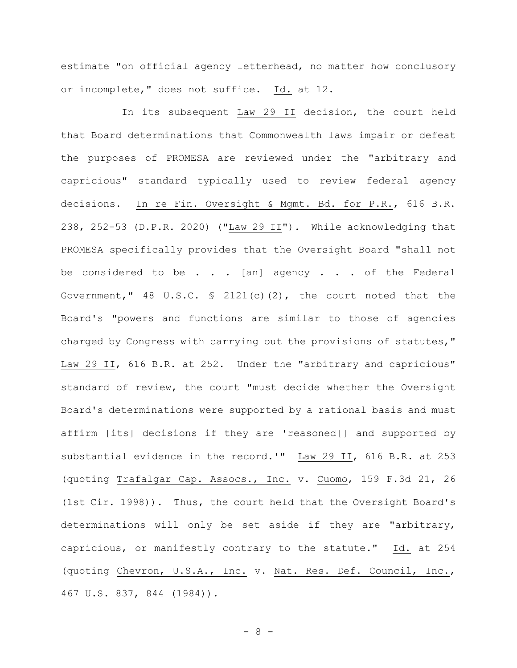estimate "on official agency letterhead, no matter how conclusory or incomplete," does not suffice. Id. at 12.

In its subsequent Law 29 II decision, the court held that Board determinations that Commonwealth laws impair or defeat the purposes of PROMESA are reviewed under the "arbitrary and capricious" standard typically used to review federal agency decisions. In re Fin. Oversight & Mgmt. Bd. for P.R., 616 B.R. 238, 252-53 (D.P.R. 2020) ("Law 29 II"). While acknowledging that PROMESA specifically provides that the Oversight Board "shall not be considered to be . . . [an] agency . . . of the Federal Government," 48 U.S.C.  $\frac{1}{2}$  2121(c)(2), the court noted that the Board's "powers and functions are similar to those of agencies charged by Congress with carrying out the provisions of statutes," Law 29 II, 616 B.R. at 252. Under the "arbitrary and capricious" standard of review, the court "must decide whether the Oversight Board's determinations were supported by a rational basis and must affirm [its] decisions if they are 'reasoned[] and supported by substantial evidence in the record.'" Law 29 II, 616 B.R. at 253 (quoting Trafalgar Cap. Assocs., Inc. v. Cuomo, 159 F.3d 21, 26 (1st Cir. 1998)). Thus, the court held that the Oversight Board's determinations will only be set aside if they are "arbitrary, capricious, or manifestly contrary to the statute." Id. at 254 (quoting Chevron, U.S.A., Inc. v. Nat. Res. Def. Council, Inc., 467 U.S. 837, 844 (1984)).

- 8 -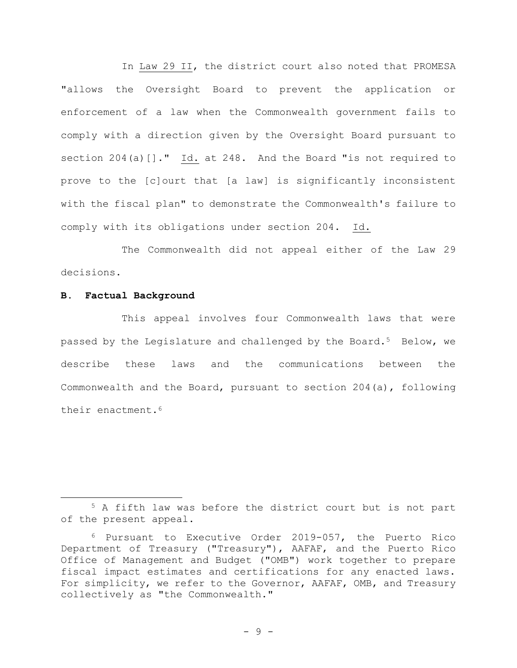In Law 29 II, the district court also noted that PROMESA "allows the Oversight Board to prevent the application or enforcement of a law when the Commonwealth government fails to comply with a direction given by the Oversight Board pursuant to section 204(a) []." Id. at 248. And the Board "is not required to prove to the [c]ourt that [a law] is significantly inconsistent with the fiscal plan" to demonstrate the Commonwealth's failure to comply with its obligations under section 204. Id.

The Commonwealth did not appeal either of the Law 29 decisions.

## **B. Factual Background**

This appeal involves four Commonwealth laws that were passed by the Legislature and challenged by the Board.<sup>5</sup> Below, we describe these laws and the communications between the Commonwealth and the Board, pursuant to section 204(a), following their enactment.<sup>6</sup>

<sup>5</sup> A fifth law was before the district court but is not part of the present appeal.

<sup>6</sup> Pursuant to Executive Order 2019-057, the Puerto Rico Department of Treasury ("Treasury"), AAFAF, and the Puerto Rico Office of Management and Budget ("OMB") work together to prepare fiscal impact estimates and certifications for any enacted laws. For simplicity, we refer to the Governor, AAFAF, OMB, and Treasury collectively as "the Commonwealth."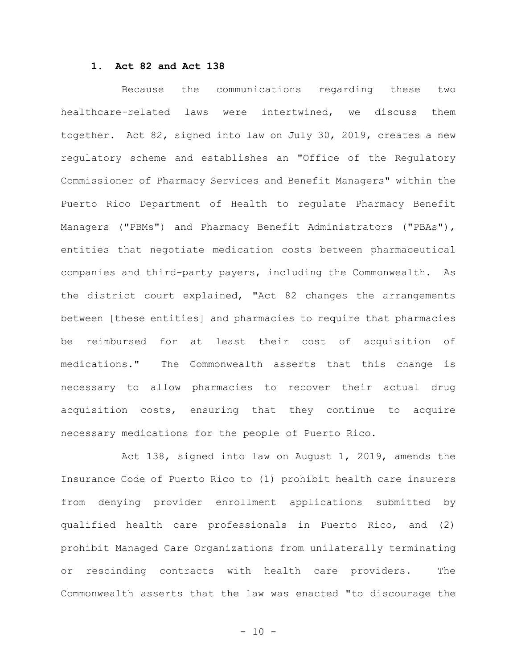### **1. Act 82 and Act 138**

Because the communications regarding these two healthcare-related laws were intertwined, we discuss them together. Act 82, signed into law on July 30, 2019, creates a new regulatory scheme and establishes an "Office of the Regulatory Commissioner of Pharmacy Services and Benefit Managers" within the Puerto Rico Department of Health to regulate Pharmacy Benefit Managers ("PBMs") and Pharmacy Benefit Administrators ("PBAs"), entities that negotiate medication costs between pharmaceutical companies and third-party payers, including the Commonwealth. As the district court explained, "Act 82 changes the arrangements between [these entities] and pharmacies to require that pharmacies be reimbursed for at least their cost of acquisition of medications."The Commonwealth asserts that this change is necessary to allow pharmacies to recover their actual drug acquisition costs, ensuring that they continue to acquire necessary medications for the people of Puerto Rico.

Act 138, signed into law on August 1, 2019, amends the Insurance Code of Puerto Rico to (1) prohibit health care insurers from denying provider enrollment applications submitted by qualified health care professionals in Puerto Rico, and (2) prohibit Managed Care Organizations from unilaterally terminating or rescinding contracts with health care providers. The Commonwealth asserts that the law was enacted "to discourage the

 $- 10 -$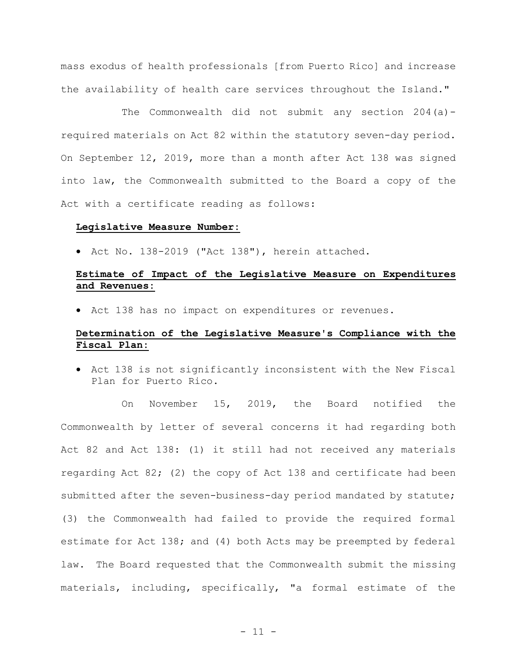mass exodus of health professionals [from Puerto Rico] and increase the availability of health care services throughout the Island."

The Commonwealth did not submit any section 204(a) required materials on Act 82 within the statutory seven-day period. On September 12, 2019, more than a month after Act 138 was signed into law, the Commonwealth submitted to the Board a copy of the Act with a certificate reading as follows:

#### **Legislative Measure Number:**

• Act No. 138-2019 ("Act 138"), herein attached.

# **Estimate of Impact of the Legislative Measure on Expenditures and Revenues:**

• Act 138 has no impact on expenditures or revenues.

# **Determination of the Legislative Measure's Compliance with the Fiscal Plan:**

• Act 138 is not significantly inconsistent with the New Fiscal Plan for Puerto Rico.

On November 15, 2019, the Board notified the Commonwealth by letter of several concerns it had regarding both Act 82 and Act 138: (1) it still had not received any materials regarding Act 82; (2) the copy of Act 138 and certificate had been submitted after the seven-business-day period mandated by statute; (3) the Commonwealth had failed to provide the required formal estimate for Act 138; and (4) both Acts may be preempted by federal law. The Board requested that the Commonwealth submit the missing materials, including, specifically, "a formal estimate of the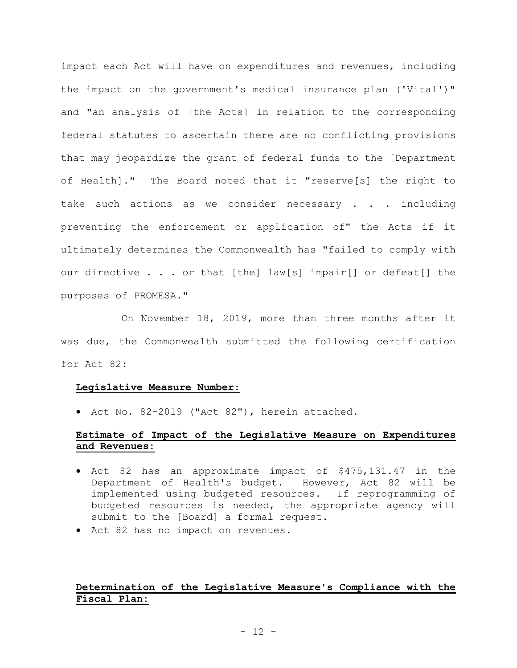impact each Act will have on expenditures and revenues, including the impact on the government's medical insurance plan ('Vital')" and "an analysis of [the Acts] in relation to the corresponding federal statutes to ascertain there are no conflicting provisions that may jeopardize the grant of federal funds to the [Department of Health]." The Board noted that it "reserve[s] the right to take such actions as we consider necessary . . . including preventing the enforcement or application of" the Acts if it ultimately determines the Commonwealth has "failed to comply with our directive . . . or that [the] law[s] impair[] or defeat[] the purposes of PROMESA."

On November 18, 2019, more than three months after it was due, the Commonwealth submitted the following certification for Act 82:

#### **Legislative Measure Number:**

• Act No. 82-2019 ("Act 82"), herein attached.

# **Estimate of Impact of the Legislative Measure on Expenditures and Revenues:**

- Act 82 has an approximate impact of \$475,131.47 in the Department of Health's budget. However, Act 82 will be implemented using budgeted resources. If reprogramming of budgeted resources is needed, the appropriate agency will submit to the [Board] a formal request.
- Act 82 has no impact on revenues.

# **Determination of the Legislative Measure's Compliance with the Fiscal Plan:**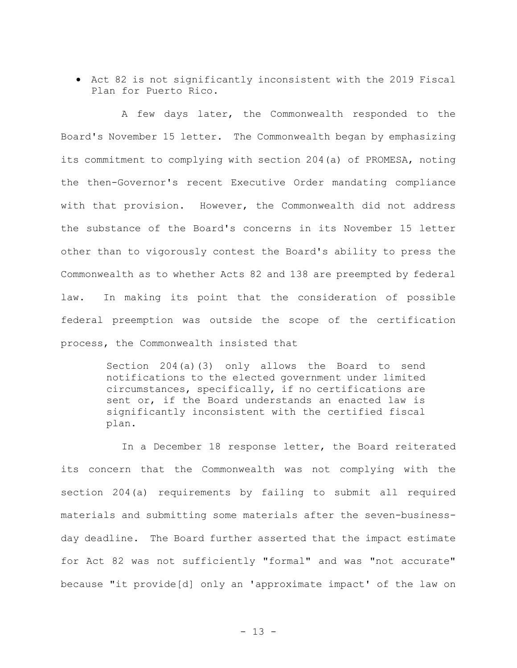• Act 82 is not significantly inconsistent with the 2019 Fiscal Plan for Puerto Rico.

A few days later, the Commonwealth responded to the Board's November 15 letter. The Commonwealth began by emphasizing its commitment to complying with section 204(a) of PROMESA, noting the then-Governor's recent Executive Order mandating compliance with that provision. However, the Commonwealth did not address the substance of the Board's concerns in its November 15 letter other than to vigorously contest the Board's ability to press the Commonwealth as to whether Acts 82 and 138 are preempted by federal law. In making its point that the consideration of possible federal preemption was outside the scope of the certification process, the Commonwealth insisted that

> Section 204(a)(3) only allows the Board to send notifications to the elected government under limited circumstances, specifically, if no certifications are sent or, if the Board understands an enacted law is significantly inconsistent with the certified fiscal plan.

In a December 18 response letter, the Board reiterated its concern that the Commonwealth was not complying with the section 204(a) requirements by failing to submit all required materials and submitting some materials after the seven-businessday deadline. The Board further asserted that the impact estimate for Act 82 was not sufficiently "formal" and was "not accurate" because "it provide[d] only an 'approximate impact' of the law on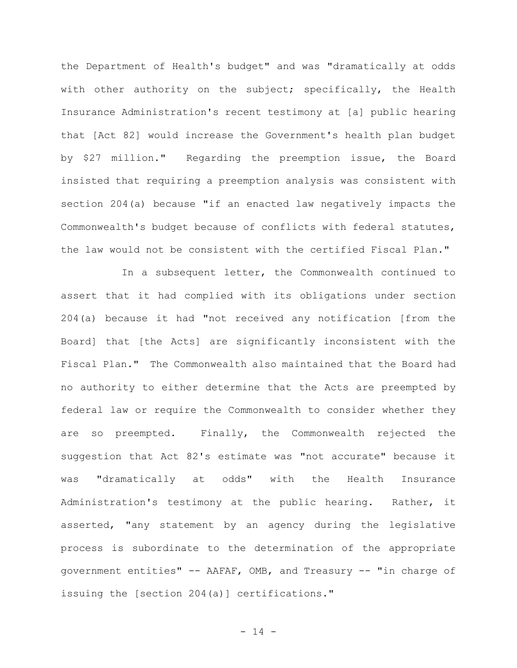the Department of Health's budget" and was "dramatically at odds with other authority on the subject; specifically, the Health Insurance Administration's recent testimony at [a] public hearing that [Act 82] would increase the Government's health plan budget by \$27 million." Regarding the preemption issue, the Board insisted that requiring a preemption analysis was consistent with section 204(a) because "if an enacted law negatively impacts the Commonwealth's budget because of conflicts with federal statutes, the law would not be consistent with the certified Fiscal Plan."

In a subsequent letter, the Commonwealth continued to assert that it had complied with its obligations under section 204(a) because it had "not received any notification [from the Board] that [the Acts] are significantly inconsistent with the Fiscal Plan." The Commonwealth also maintained that the Board had no authority to either determine that the Acts are preempted by federal law or require the Commonwealth to consider whether they are so preempted. Finally, the Commonwealth rejected the suggestion that Act 82's estimate was "not accurate" because it was "dramatically at odds" with the Health Insurance Administration's testimony at the public hearing. Rather, it asserted, "any statement by an agency during the legislative process is subordinate to the determination of the appropriate government entities" -- AAFAF, OMB, and Treasury -- "in charge of issuing the [section 204(a)] certifications."

 $- 14 -$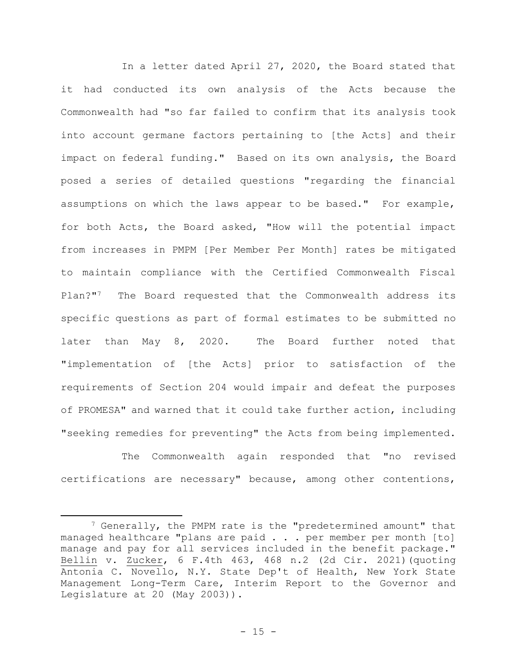In a letter dated April 27, 2020, the Board stated that it had conducted its own analysis of the Acts because the Commonwealth had "so far failed to confirm that its analysis took into account germane factors pertaining to [the Acts] and their impact on federal funding." Based on its own analysis, the Board posed a series of detailed questions "regarding the financial assumptions on which the laws appear to be based." For example, for both Acts, the Board asked, "How will the potential impact from increases in PMPM [Per Member Per Month] rates be mitigated to maintain compliance with the Certified Commonwealth Fiscal Plan?"7 The Board requested that the Commonwealth address its specific questions as part of formal estimates to be submitted no later than May 8, 2020. The Board further noted that "implementation of [the Acts] prior to satisfaction of the requirements of Section 204 would impair and defeat the purposes of PROMESA" and warned that it could take further action, including "seeking remedies for preventing" the Acts from being implemented.

The Commonwealth again responded that "no revised certifications are necessary" because, among other contentions,

<sup>7</sup> Generally, the PMPM rate is the "predetermined amount" that managed healthcare "plans are paid . . . per member per month [to] manage and pay for all services included in the benefit package." Bellin v. Zucker, 6 F.4th 463, 468 n.2 (2d Cir. 2021)(quoting Antonia C. Novello, N.Y. State Dep't of Health, New York State Management Long-Term Care, Interim Report to the Governor and Legislature at 20 (May 2003)).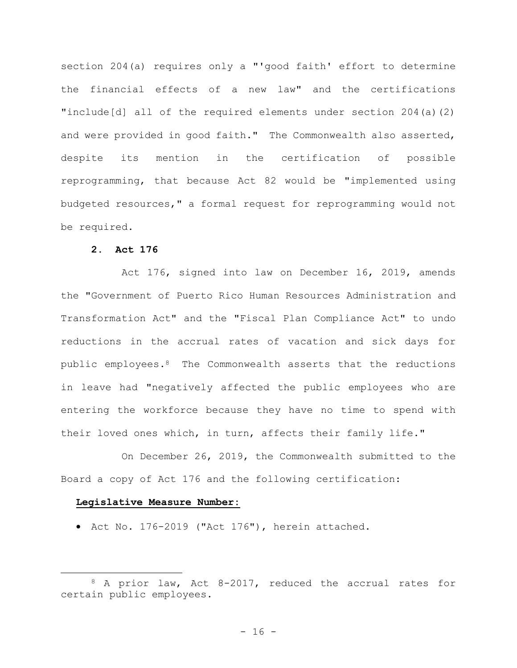section 204(a) requires only a "'good faith' effort to determine the financial effects of a new law" and the certifications "include[d] all of the required elements under section  $204(a)(2)$ and were provided in good faith." The Commonwealth also asserted, despite its mention in the certification of possible reprogramming, that because Act 82 would be "implemented using budgeted resources," a formal request for reprogramming would not be required.

# **2. Act 176**

Act 176, signed into law on December 16, 2019, amends the "Government of Puerto Rico Human Resources Administration and Transformation Act" and the "Fiscal Plan Compliance Act" to undo reductions in the accrual rates of vacation and sick days for public employees.<sup>8</sup> The Commonwealth asserts that the reductions in leave had "negatively affected the public employees who are entering the workforce because they have no time to spend with their loved ones which, in turn, affects their family life."

On December 26, 2019, the Commonwealth submitted to the Board a copy of Act 176 and the following certification:

## **Legislative Measure Number:**

• Act No. 176-2019 ("Act 176"), herein attached.

<sup>8</sup> A prior law, Act 8-2017, reduced the accrual rates for certain public employees.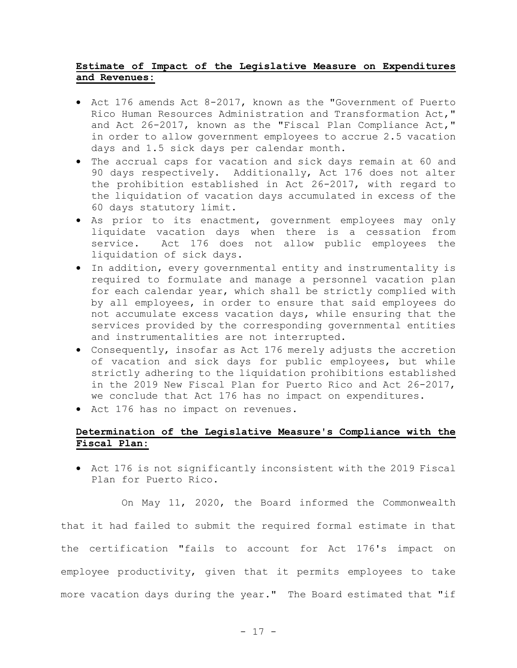# **Estimate of Impact of the Legislative Measure on Expenditures and Revenues:**

- Act 176 amends Act 8-2017, known as the "Government of Puerto Rico Human Resources Administration and Transformation Act," and Act 26-2017, known as the "Fiscal Plan Compliance Act," in order to allow government employees to accrue 2.5 vacation days and 1.5 sick days per calendar month.
- The accrual caps for vacation and sick days remain at 60 and 90 days respectively. Additionally, Act 176 does not alter the prohibition established in Act 26-2017, with regard to the liquidation of vacation days accumulated in excess of the 60 days statutory limit.
- As prior to its enactment, government employees may only liquidate vacation days when there is a cessation from service. Act 176 does not allow public employees the liquidation of sick days.
- In addition, every governmental entity and instrumentality is required to formulate and manage a personnel vacation plan for each calendar year, which shall be strictly complied with by all employees, in order to ensure that said employees do not accumulate excess vacation days, while ensuring that the services provided by the corresponding governmental entities and instrumentalities are not interrupted.
- Consequently, insofar as Act 176 merely adjusts the accretion of vacation and sick days for public employees, but while strictly adhering to the liquidation prohibitions established in the 2019 New Fiscal Plan for Puerto Rico and Act 26-2017, we conclude that Act 176 has no impact on expenditures.
- Act 176 has no impact on revenues.

# **Determination of the Legislative Measure's Compliance with the Fiscal Plan:**

• Act 176 is not significantly inconsistent with the 2019 Fiscal Plan for Puerto Rico.

On May 11, 2020, the Board informed the Commonwealth that it had failed to submit the required formal estimate in that the certification "fails to account for Act 176's impact on employee productivity, given that it permits employees to take more vacation days during the year." The Board estimated that "if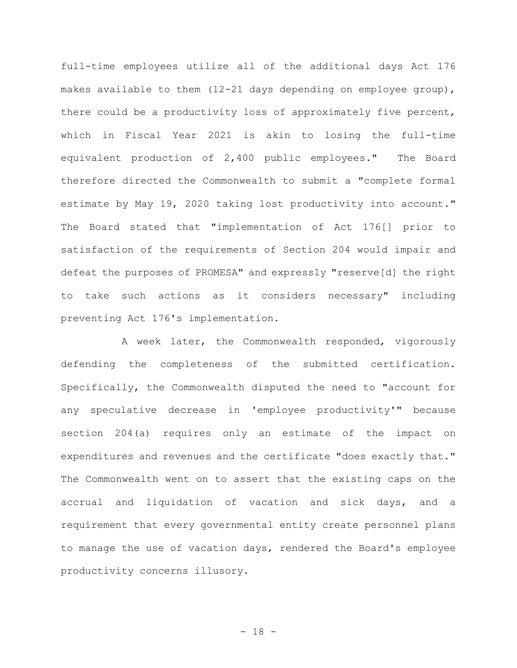full-time employees utilize all of the additional days Act 176 makes available to them (12-21 days depending on employee group), there could be a productivity loss of approximately five percent, which in Fiscal Year 2021 is akin to losing the full-time equivalent production of 2,400 public employees." The Board therefore directed the Commonwealth to submit a "complete formal estimate by May 19, 2020 taking lost productivity into account." The Board stated that "implementation of Act 176[] prior to satisfaction of the requirements of Section 204 would impair and defeat the purposes of PROMESA" and expressly "reserve[d] the right to take such actions as it considers necessary" including preventing Act 176's implementation.

A week later, the Commonwealth responded, vigorously defending the completeness of the submitted certification. Specifically, the Commonwealth disputed the need to "account for any speculative decrease in 'employee productivity'" because section 204(a) requires only an estimate of the impact on expenditures and revenues and the certificate "does exactly that." The Commonwealth went on to assert that the existing caps on the accrual and liquidation of vacation and sick days, and a requirement that every governmental entity create personnel plans to manage the use of vacation days, rendered the Board's employee productivity concerns illusory.

- 18 -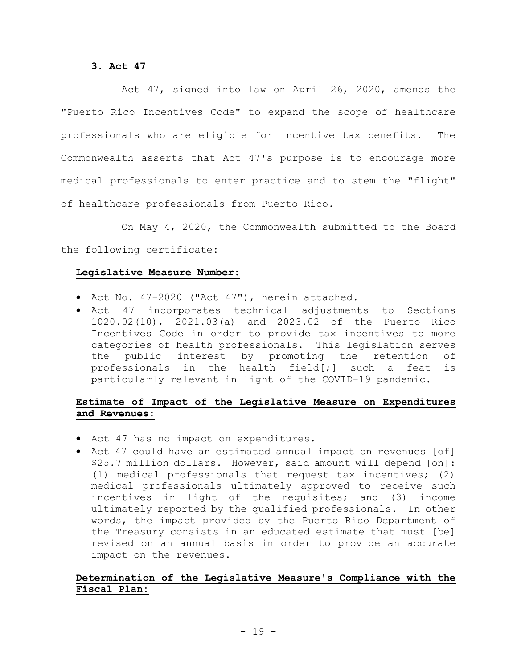# **3. Act 47**

Act 47, signed into law on April 26, 2020, amends the "Puerto Rico Incentives Code" to expand the scope of healthcare professionals who are eligible for incentive tax benefits. The Commonwealth asserts that Act 47's purpose is to encourage more medical professionals to enter practice and to stem the "flight" of healthcare professionals from Puerto Rico.

On May 4, 2020, the Commonwealth submitted to the Board the following certificate:

# **Legislative Measure Number:**

- Act No. 47-2020 ("Act 47"), herein attached.
- Act 47 incorporates technical adjustments to Sections 1020.02(10), 2021.03(a) and 2023.02 of the Puerto Rico Incentives Code in order to provide tax incentives to more categories of health professionals. This legislation serves the public interest by promoting the retention of professionals in the health field $[i]$  such a feat is particularly relevant in light of the COVID-19 pandemic.

# **Estimate of Impact of the Legislative Measure on Expenditures and Revenues:**

- Act 47 has no impact on expenditures.
- Act 47 could have an estimated annual impact on revenues [of] \$25.7 million dollars. However, said amount will depend [on]: (1) medical professionals that request tax incentives; (2) medical professionals ultimately approved to receive such incentives in light of the requisites; and (3) income ultimately reported by the qualified professionals. In other words, the impact provided by the Puerto Rico Department of the Treasury consists in an educated estimate that must [be] revised on an annual basis in order to provide an accurate impact on the revenues.

# **Determination of the Legislative Measure's Compliance with the Fiscal Plan:**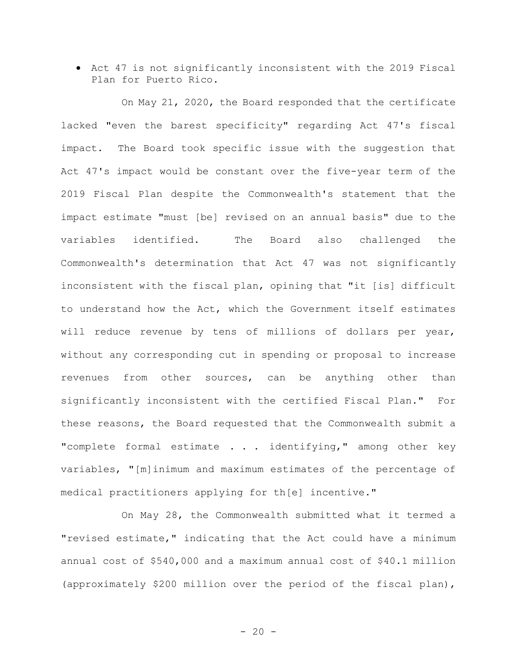• Act 47 is not significantly inconsistent with the 2019 Fiscal Plan for Puerto Rico.

On May 21, 2020, the Board responded that the certificate lacked "even the barest specificity" regarding Act 47's fiscal impact. The Board took specific issue with the suggestion that Act 47's impact would be constant over the five-year term of the 2019 Fiscal Plan despite the Commonwealth's statement that the impact estimate "must [be] revised on an annual basis" due to the variables identified. The Board also challenged the Commonwealth's determination that Act 47 was not significantly inconsistent with the fiscal plan, opining that "it [is] difficult to understand how the Act, which the Government itself estimates will reduce revenue by tens of millions of dollars per year, without any corresponding cut in spending or proposal to increase revenues from other sources, can be anything other than significantly inconsistent with the certified Fiscal Plan."For these reasons, the Board requested that the Commonwealth submit a "complete formal estimate . . . identifying," among other key variables, "[m]inimum and maximum estimates of the percentage of medical practitioners applying for th[e] incentive."

On May 28, the Commonwealth submitted what it termed a "revised estimate," indicating that the Act could have a minimum annual cost of \$540,000 and a maximum annual cost of \$40.1 million (approximately \$200 million over the period of the fiscal plan),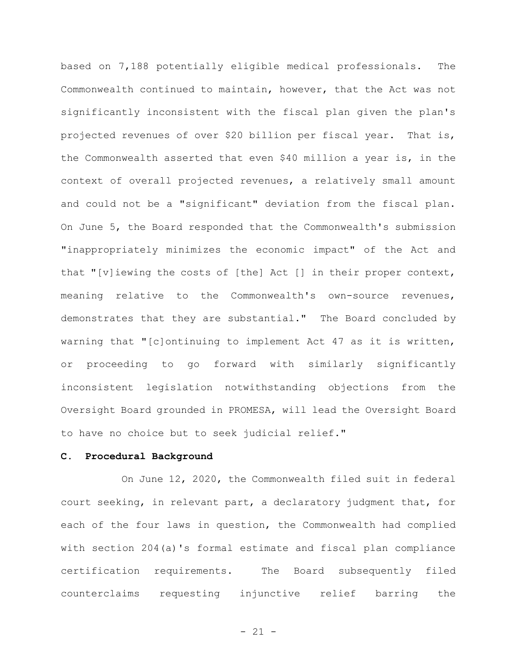based on 7,188 potentially eligible medical professionals. The Commonwealth continued to maintain, however, that the Act was not significantly inconsistent with the fiscal plan given the plan's projected revenues of over \$20 billion per fiscal year. That is, the Commonwealth asserted that even \$40 million a year is, in the context of overall projected revenues, a relatively small amount and could not be a "significant" deviation from the fiscal plan. On June 5, the Board responded that the Commonwealth's submission "inappropriately minimizes the economic impact" of the Act and that "[v]iewing the costs of [the] Act [] in their proper context, meaning relative to the Commonwealth's own-source revenues, demonstrates that they are substantial." The Board concluded by warning that "[c]ontinuing to implement Act 47 as it is written, or proceeding to go forward with similarly significantly inconsistent legislation notwithstanding objections from the Oversight Board grounded in PROMESA, will lead the Oversight Board to have no choice but to seek judicial relief."

#### **C. Procedural Background**

On June 12, 2020, the Commonwealth filed suit in federal court seeking, in relevant part, a declaratory judgment that, for each of the four laws in question, the Commonwealth had complied with section 204(a)'s formal estimate and fiscal plan compliance certification requirements. The Board subsequently filed counterclaims requesting injunctive relief barring the

- 21 -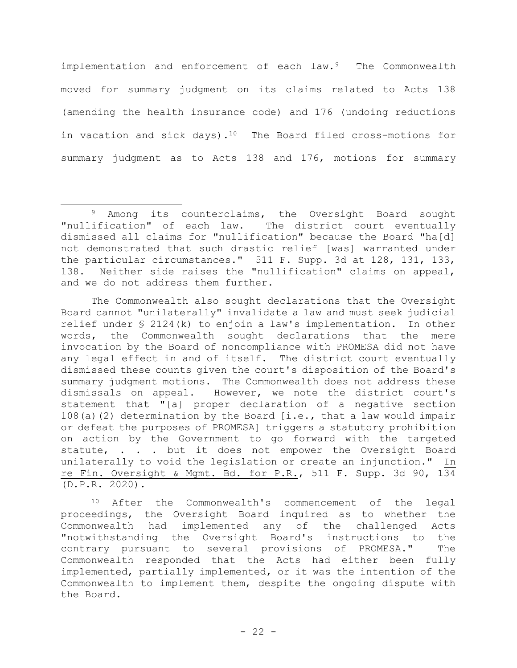implementation and enforcement of each law.<sup>9</sup> The Commonwealth moved for summary judgment on its claims related to Acts 138 (amending the health insurance code) and 176 (undoing reductions in vacation and sick days).<sup>10</sup> The Board filed cross-motions for summary judgment as to Acts 138 and 176, motions for summary

The Commonwealth also sought declarations that the Oversight Board cannot "unilaterally" invalidate a law and must seek judicial relief under § 2124(k) to enjoin a law's implementation. In other words, the Commonwealth sought declarations that the mere invocation by the Board of noncompliance with PROMESA did not have any legal effect in and of itself. The district court eventually dismissed these counts given the court's disposition of the Board's summary judgment motions. The Commonwealth does not address these dismissals on appeal. However, we note the district court's statement that "[a] proper declaration of a negative section 108(a)(2) determination by the Board  $[i.e., that a law would impair$ or defeat the purposes of PROMESA] triggers a statutory prohibition on action by the Government to go forward with the targeted statute, . . . but it does not empower the Oversight Board unilaterally to void the legislation or create an injunction." In re Fin. Oversight & Mgmt. Bd. for P.R., 511 F. Supp. 3d 90, 134 (D.P.R. 2020).

<sup>10</sup> After the Commonwealth's commencement of the legal proceedings, the Oversight Board inquired as to whether the Commonwealth had implemented any of the challenged Acts "notwithstanding the Oversight Board's instructions to the contrary pursuant to several provisions of PROMESA." The Commonwealth responded that the Acts had either been fully implemented, partially implemented, or it was the intention of the Commonwealth to implement them, despite the ongoing dispute with the Board.

<sup>9</sup> Among its counterclaims, the Oversight Board sought "nullification" of each law. The district court eventually dismissed all claims for "nullification" because the Board "ha[d] not demonstrated that such drastic relief [was] warranted under the particular circumstances." 511 F. Supp. 3d at 128, 131, 133, 138. Neither side raises the "nullification" claims on appeal, and we do not address them further.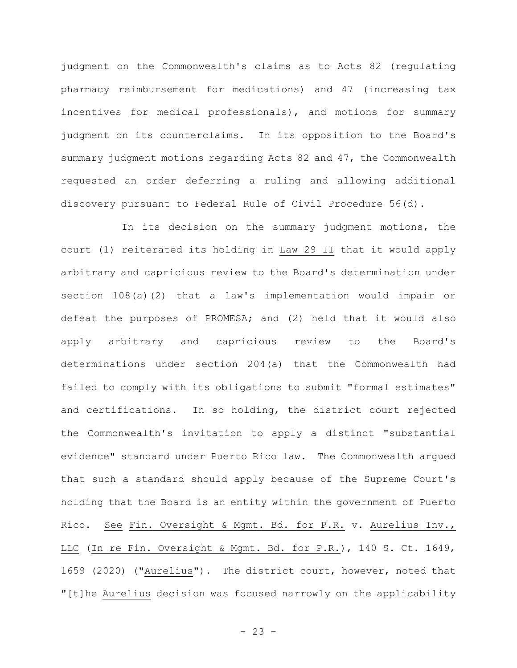judgment on the Commonwealth's claims as to Acts 82 (regulating pharmacy reimbursement for medications) and 47 (increasing tax incentives for medical professionals), and motions for summary judgment on its counterclaims. In its opposition to the Board's summary judgment motions regarding Acts 82 and 47, the Commonwealth requested an order deferring a ruling and allowing additional discovery pursuant to Federal Rule of Civil Procedure 56(d).

In its decision on the summary judgment motions, the court (1) reiterated its holding in Law 29 II that it would apply arbitrary and capricious review to the Board's determination under section 108(a)(2) that a law's implementation would impair or defeat the purposes of PROMESA; and (2) held that it would also apply arbitrary and capricious review to the Board's determinations under section 204(a) that the Commonwealth had failed to comply with its obligations to submit "formal estimates" and certifications. In so holding, the district court rejected the Commonwealth's invitation to apply a distinct "substantial evidence" standard under Puerto Rico law. The Commonwealth argued that such a standard should apply because of the Supreme Court's holding that the Board is an entity within the government of Puerto Rico. See Fin. Oversight & Mgmt. Bd. for P.R. v. Aurelius Inv., LLC (In re Fin. Oversight & Mgmt. Bd. for P.R.), 140 S. Ct. 1649, 1659 (2020) ("Aurelius"). The district court, however, noted that "[t]he Aurelius decision was focused narrowly on the applicability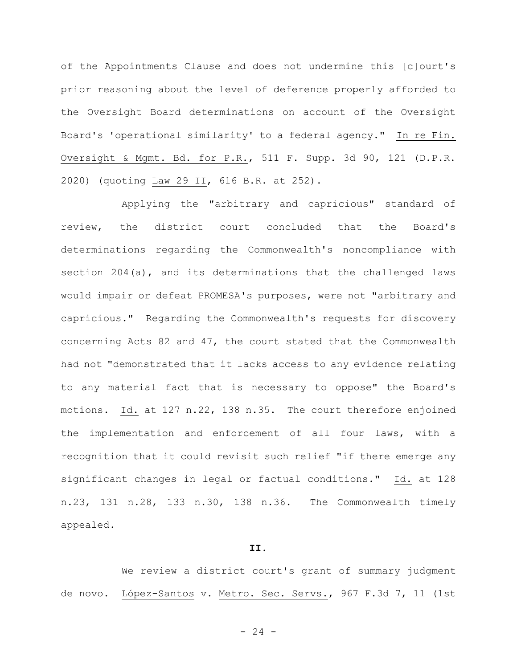of the Appointments Clause and does not undermine this [c]ourt's prior reasoning about the level of deference properly afforded to the Oversight Board determinations on account of the Oversight Board's 'operational similarity' to a federal agency." In re Fin. Oversight & Mgmt. Bd. for P.R., 511 F. Supp. 3d 90, 121 (D.P.R. 2020) (quoting Law 29 II, 616 B.R. at 252).

Applying the "arbitrary and capricious" standard of review, the district court concluded that the Board's determinations regarding the Commonwealth's noncompliance with section 204(a), and its determinations that the challenged laws would impair or defeat PROMESA's purposes, were not "arbitrary and capricious." Regarding the Commonwealth's requests for discovery concerning Acts 82 and 47, the court stated that the Commonwealth had not "demonstrated that it lacks access to any evidence relating to any material fact that is necessary to oppose" the Board's motions. Id. at 127 n.22, 138 n.35. The court therefore enjoined the implementation and enforcement of all four laws, with a recognition that it could revisit such relief "if there emerge any significant changes in legal or factual conditions." Id. at 128 n.23, 131 n.28, 133 n.30, 138 n.36. The Commonwealth timely appealed.

#### **II.**

We review a district court's grant of summary judgment de novo. López-Santos v. Metro. Sec. Servs., 967 F.3d 7, 11 (1st

 $- 24 -$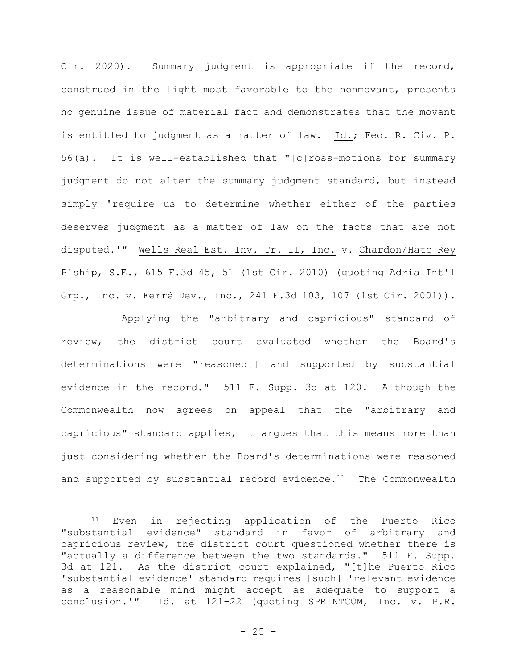Cir. 2020). Summary judgment is appropriate if the record, construed in the light most favorable to the nonmovant, presents no genuine issue of material fact and demonstrates that the movant is entitled to judgment as a matter of law. Id.; Fed. R. Civ. P. 56(a). It is well-established that "[c]ross-motions for summary judgment do not alter the summary judgment standard, but instead simply 'require us to determine whether either of the parties deserves judgment as a matter of law on the facts that are not disputed.'" Wells Real Est. Inv. Tr. II, Inc. v. Chardon/Hato Rey P'ship, S.E., 615 F.3d 45, 51 (1st Cir. 2010) (quoting Adria Int'l Grp., Inc. v. Ferré Dev., Inc., 241 F.3d 103, 107 (1st Cir. 2001)).

Applying the "arbitrary and capricious" standard of review, the district court evaluated whether the Board's determinations were "reasoned[] and supported by substantial evidence in the record." 511 F. Supp. 3d at 120. Although the Commonwealth now agrees on appeal that the "arbitrary and capricious" standard applies, it argues that this means more than just considering whether the Board's determinations were reasoned and supported by substantial record evidence.<sup>11</sup> The Commonwealth

<sup>11</sup> Even in rejecting application of the Puerto Rico "substantial evidence" standard in favor of arbitrary and capricious review, the district court questioned whether there is "actually a difference between the two standards." 511 F. Supp. 3d at 121. As the district court explained, "[t]he Puerto Rico 'substantial evidence' standard requires [such] 'relevant evidence as a reasonable mind might accept as adequate to support a conclusion.'" Id. at 121-22 (quoting SPRINTCOM, Inc. v. P.R.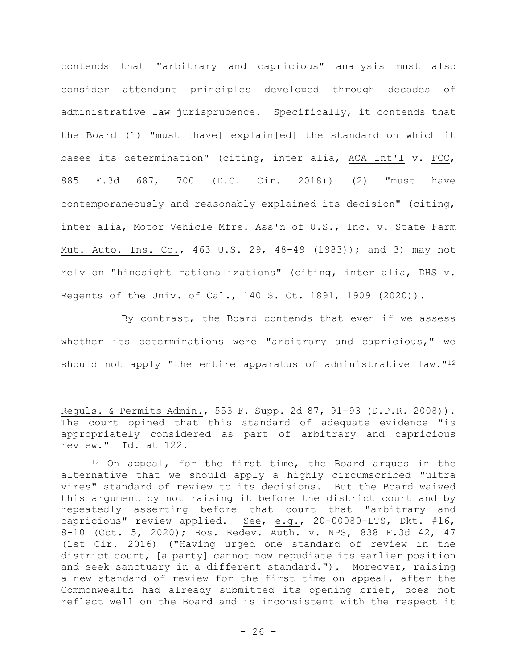contends that "arbitrary and capricious" analysis must also consider attendant principles developed through decades of administrative law jurisprudence. Specifically, it contends that the Board (1) "must [have] explain[ed] the standard on which it bases its determination" (citing, inter alia, ACA Int'l v. FCC, 885 F.3d 687, 700 (D.C. Cir. 2018)) (2) "must have contemporaneously and reasonably explained its decision" (citing, inter alia, Motor Vehicle Mfrs. Ass'n of U.S., Inc. v. State Farm Mut. Auto. Ins. Co., 463 U.S. 29, 48-49 (1983)); and 3) may not rely on "hindsight rationalizations" (citing, inter alia, DHS v. Regents of the Univ. of Cal., 140 S. Ct. 1891, 1909 (2020)).

By contrast, the Board contends that even if we assess whether its determinations were "arbitrary and capricious," we should not apply "the entire apparatus of administrative law."<sup>12</sup>

Reguls. & Permits Admin., 553 F. Supp. 2d 87, 91-93 (D.P.R. 2008)). The court opined that this standard of adequate evidence "is appropriately considered as part of arbitrary and capricious review." Id. at 122.

<sup>12</sup> On appeal, for the first time, the Board argues in the alternative that we should apply a highly circumscribed "ultra vires" standard of review to its decisions. But the Board waived this argument by not raising it before the district court and by repeatedly asserting before that court that "arbitrary and capricious" review applied. See, e.g., 20-00080-LTS, Dkt. #16, 8-10 (Oct. 5, 2020); Bos. Redev. Auth. v. NPS, 838 F.3d 42, 47 (1st Cir. 2016) ("Having urged one standard of review in the district court, [a party] cannot now repudiate its earlier position and seek sanctuary in a different standard."). Moreover, raising a new standard of review for the first time on appeal, after the Commonwealth had already submitted its opening brief, does not reflect well on the Board and is inconsistent with the respect it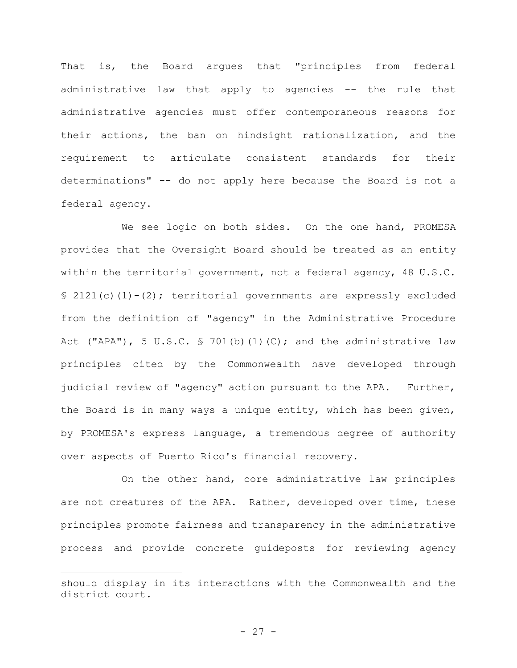That is, the Board argues that "principles from federal administrative law that apply to agencies -- the rule that administrative agencies must offer contemporaneous reasons for their actions, the ban on hindsight rationalization, and the requirement to articulate consistent standards for their determinations" -- do not apply here because the Board is not a federal agency.

We see logic on both sides. On the one hand, PROMESA provides that the Oversight Board should be treated as an entity within the territorial government, not a federal agency, 48 U.S.C. § 2121(c)(1)-(2); territorial governments are expressly excluded from the definition of "agency" in the Administrative Procedure Act ("APA"), 5 U.S.C.  $S$  701(b)(1)(C); and the administrative law principles cited by the Commonwealth have developed through judicial review of "agency" action pursuant to the APA. Further, the Board is in many ways a unique entity, which has been given, by PROMESA's express language, a tremendous degree of authority over aspects of Puerto Rico's financial recovery.

On the other hand, core administrative law principles are not creatures of the APA. Rather, developed over time, these principles promote fairness and transparency in the administrative process and provide concrete guideposts for reviewing agency

should display in its interactions with the Commonwealth and the district court.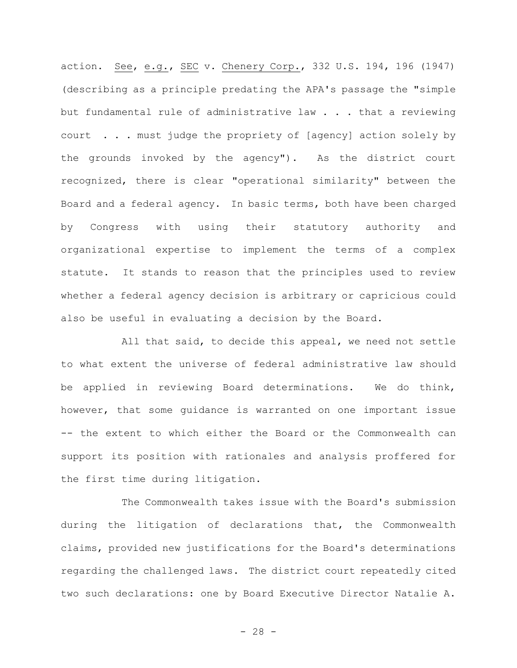action. See, e.g., SEC v. Chenery Corp., 332 U.S. 194, 196 (1947) (describing as a principle predating the APA's passage the "simple but fundamental rule of administrative law . . . that a reviewing court . . . must judge the propriety of [agency] action solely by the grounds invoked by the agency"). As the district court recognized, there is clear "operational similarity" between the Board and a federal agency. In basic terms, both have been charged by Congress with using their statutory authority and organizational expertise to implement the terms of a complex statute. It stands to reason that the principles used to review whether a federal agency decision is arbitrary or capricious could also be useful in evaluating a decision by the Board.

All that said, to decide this appeal, we need not settle to what extent the universe of federal administrative law should be applied in reviewing Board determinations. We do think, however, that some guidance is warranted on one important issue -- the extent to which either the Board or the Commonwealth can support its position with rationales and analysis proffered for the first time during litigation.

The Commonwealth takes issue with the Board's submission during the litigation of declarations that, the Commonwealth claims, provided new justifications for the Board's determinations regarding the challenged laws.The district court repeatedly cited two such declarations: one by Board Executive Director Natalie A.

 $- 28 -$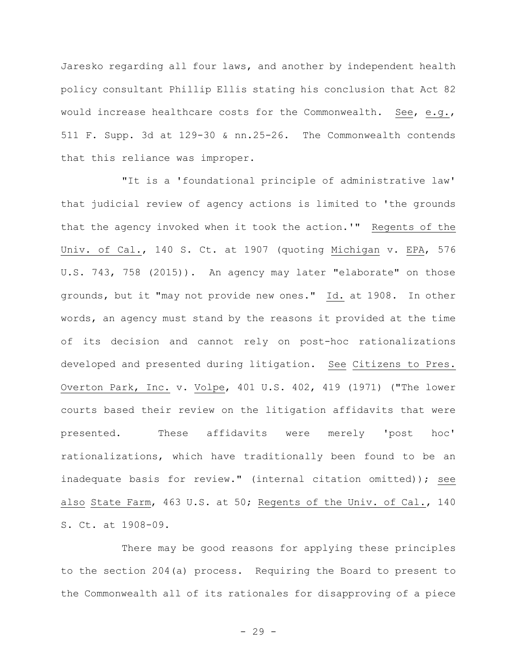Jaresko regarding all four laws, and another by independent health policy consultant Phillip Ellis stating his conclusion that Act 82 would increase healthcare costs for the Commonwealth. See, e.g., 511 F. Supp. 3d at 129-30 & nn.25-26. The Commonwealth contends that this reliance was improper.

"It is a 'foundational principle of administrative law' that judicial review of agency actions is limited to 'the grounds that the agency invoked when it took the action.'" Regents of the Univ. of Cal., 140 S. Ct. at 1907 (quoting Michigan v. EPA, 576 U.S. 743, 758 (2015)). An agency may later "elaborate" on those grounds, but it "may not provide new ones." Id. at 1908. In other words, an agency must stand by the reasons it provided at the time of its decision and cannot rely on post-hoc rationalizations developed and presented during litigation. See Citizens to Pres. Overton Park, Inc. v. Volpe, 401 U.S. 402, 419 (1971) ("The lower courts based their review on the litigation affidavits that were presented. These affidavits were merely 'post hoc' rationalizations, which have traditionally been found to be an inadequate basis for review." (internal citation omitted)); see also State Farm, 463 U.S. at 50; Regents of the Univ. of Cal., 140 S. Ct. at 1908-09.

There may be good reasons for applying these principles to the section 204(a) process. Requiring the Board to present to the Commonwealth all of its rationales for disapproving of a piece

- 29 -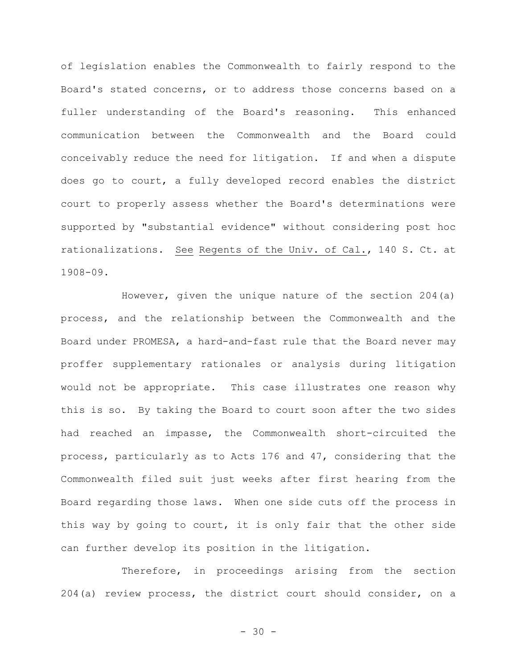of legislation enables the Commonwealth to fairly respond to the Board's stated concerns, or to address those concerns based on a fuller understanding of the Board's reasoning. This enhanced communication between the Commonwealth and the Board could conceivably reduce the need for litigation. If and when a dispute does go to court, a fully developed record enables the district court to properly assess whether the Board's determinations were supported by "substantial evidence" without considering post hoc rationalizations. See Regents of the Univ. of Cal., 140 S. Ct. at 1908-09.

However, given the unique nature of the section 204(a) process, and the relationship between the Commonwealth and the Board under PROMESA, a hard-and-fast rule that the Board never may proffer supplementary rationales or analysis during litigation would not be appropriate. This case illustrates one reason why this is so. By taking the Board to court soon after the two sides had reached an impasse, the Commonwealth short-circuited the process, particularly as to Acts 176 and 47, considering that the Commonwealth filed suit just weeks after first hearing from the Board regarding those laws. When one side cuts off the process in this way by going to court, it is only fair that the other side can further develop its position in the litigation.

Therefore, in proceedings arising from the section 204(a) review process, the district court should consider, on a

 $- 30 -$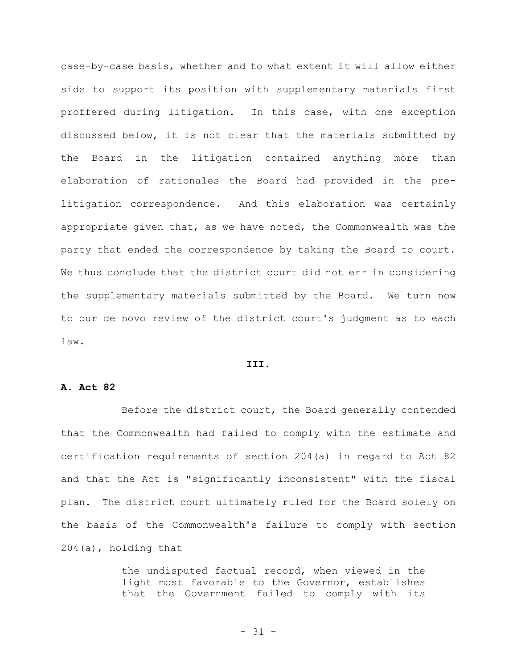case-by-case basis, whether and to what extent it will allow either side to support its position with supplementary materials first proffered during litigation. In this case, with one exception discussed below, it is not clear that the materials submitted by the Board in the litigation contained anything more than elaboration of rationales the Board had provided in the prelitigation correspondence. And this elaboration was certainly appropriate given that, as we have noted, the Commonwealth was the party that ended the correspondence by taking the Board to court. We thus conclude that the district court did not err in considering the supplementary materials submitted by the Board. We turn now to our de novo review of the district court's judgment as to each law.

#### **III.**

## **A. Act 82**

Before the district court, the Board generally contended that the Commonwealth had failed to comply with the estimate and certification requirements of section 204(a) in regard to Act 82 and that the Act is "significantly inconsistent" with the fiscal plan. The district court ultimately ruled for the Board solely on the basis of the Commonwealth's failure to comply with section 204(a), holding that

> the undisputed factual record, when viewed in the light most favorable to the Governor, establishes that the Government failed to comply with its

> > - 31 -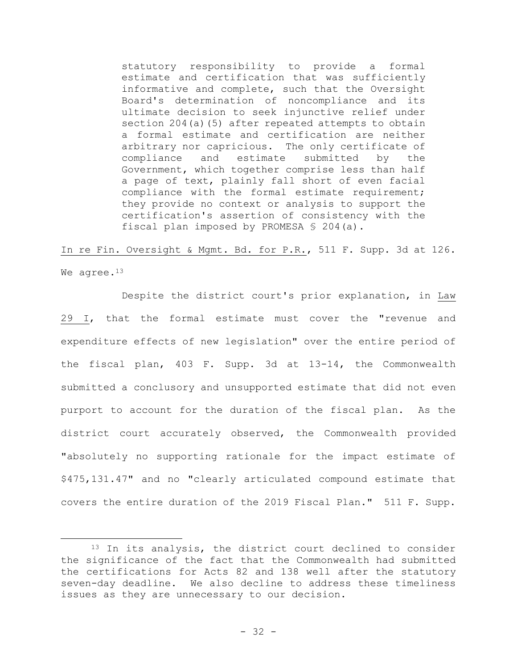statutory responsibility to provide a formal estimate and certification that was sufficiently informative and complete, such that the Oversight Board's determination of noncompliance and its ultimate decision to seek injunctive relief under section 204(a)(5) after repeated attempts to obtain a formal estimate and certification are neither arbitrary nor capricious. The only certificate of compliance and estimate submitted by the Government, which together comprise less than half a page of text, plainly fall short of even facial compliance with the formal estimate requirement; they provide no context or analysis to support the certification's assertion of consistency with the fiscal plan imposed by PROMESA § 204(a).

In re Fin. Oversight & Mgmt. Bd. for P.R., 511 F. Supp. 3d at 126. We agree.<sup>13</sup>

Despite the district court's prior explanation, in Law 29 I, that the formal estimate must cover the "revenue and expenditure effects of new legislation" over the entire period of the fiscal plan, 403 F. Supp. 3d at 13-14, the Commonwealth submitted a conclusory and unsupported estimate that did not even purport to account for the duration of the fiscal plan. As the district court accurately observed, the Commonwealth provided "absolutely no supporting rationale for the impact estimate of \$475,131.47" and no "clearly articulated compound estimate that covers the entire duration of the 2019 Fiscal Plan." 511 F. Supp.

<sup>&</sup>lt;sup>13</sup> In its analysis, the district court declined to consider the significance of the fact that the Commonwealth had submitted the certifications for Acts 82 and 138 well after the statutory seven-day deadline. We also decline to address these timeliness issues as they are unnecessary to our decision.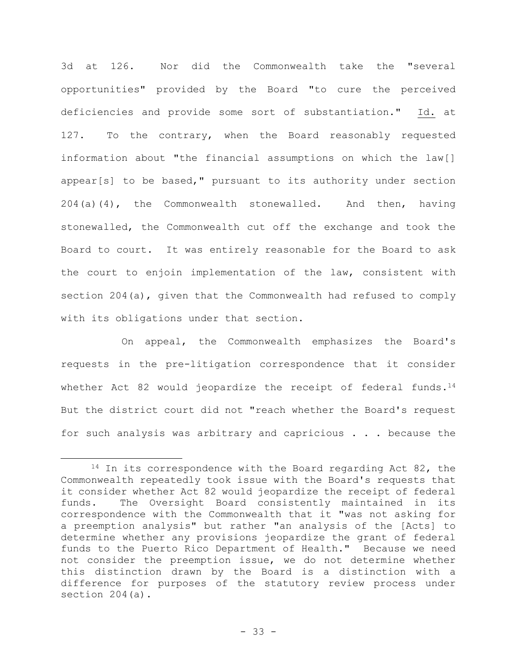3d at 126. Nor did the Commonwealth take the "several opportunities" provided by the Board "to cure the perceived deficiencies and provide some sort of substantiation." Id. at 127. To the contrary, when the Board reasonably requested information about "the financial assumptions on which the law[] appear[s] to be based," pursuant to its authority under section 204(a)(4), the Commonwealth stonewalled. And then, having stonewalled, the Commonwealth cut off the exchange and took the Board to court. It was entirely reasonable for the Board to ask the court to enjoin implementation of the law, consistent with section 204(a), given that the Commonwealth had refused to comply with its obligations under that section.

On appeal, the Commonwealth emphasizes the Board's requests in the pre-litigation correspondence that it consider whether Act 82 would jeopardize the receipt of federal funds.<sup>14</sup> But the district court did not "reach whether the Board's request for such analysis was arbitrary and capricious . . . because the

<sup>&</sup>lt;sup>14</sup> In its correspondence with the Board regarding Act 82, the Commonwealth repeatedly took issue with the Board's requests that it consider whether Act 82 would jeopardize the receipt of federal funds. The Oversight Board consistently maintained in its correspondence with the Commonwealth that it "was not asking for a preemption analysis" but rather "an analysis of the [Acts] to determine whether any provisions jeopardize the grant of federal funds to the Puerto Rico Department of Health."Because we need not consider the preemption issue, we do not determine whether this distinction drawn by the Board is a distinction with a difference for purposes of the statutory review process under section 204(a).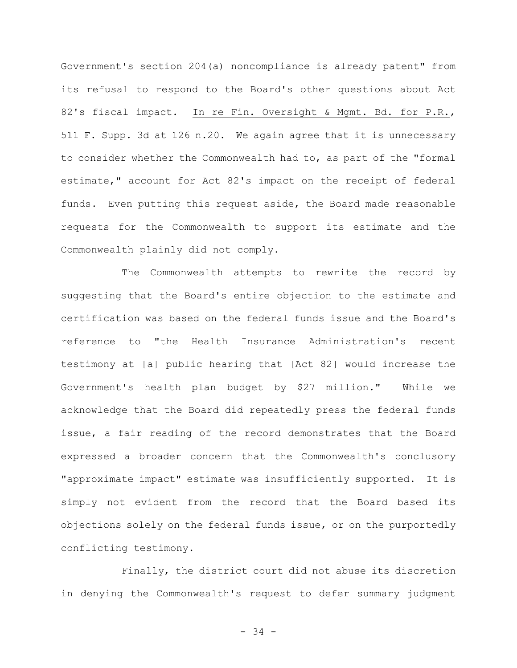Government's section 204(a) noncompliance is already patent" from its refusal to respond to the Board's other questions about Act 82's fiscal impact. In re Fin. Oversight & Mgmt. Bd. for P.R., 511 F. Supp. 3d at 126 n.20. We again agree that it is unnecessary to consider whether the Commonwealth had to, as part of the "formal estimate," account for Act 82's impact on the receipt of federal funds. Even putting this request aside, the Board made reasonable requests for the Commonwealth to support its estimate and the Commonwealth plainly did not comply.

The Commonwealth attempts to rewrite the record by suggesting that the Board's entire objection to the estimate and certification was based on the federal funds issue and the Board's reference to "the Health Insurance Administration's recent testimony at [a] public hearing that [Act 82] would increase the Government's health plan budget by \$27 million." While we acknowledge that the Board did repeatedly press the federal funds issue, a fair reading of the record demonstrates that the Board expressed a broader concern that the Commonwealth's conclusory "approximate impact" estimate was insufficiently supported. It is simply not evident from the record that the Board based its objections solely on the federal funds issue, or on the purportedly conflicting testimony.

Finally, the district court did not abuse its discretion in denying the Commonwealth's request to defer summary judgment

- 34 -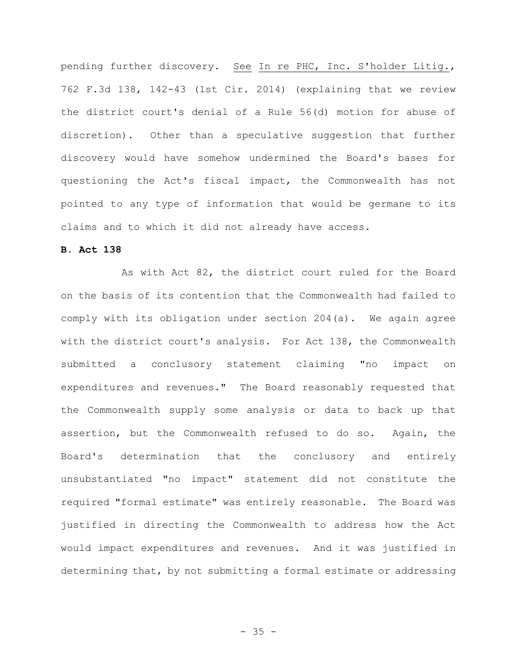pending further discovery. See In re PHC, Inc. S'holder Litig., 762 F.3d 138, 142-43 (1st Cir. 2014) (explaining that we review the district court's denial of a Rule 56(d) motion for abuse of discretion). Other than a speculative suggestion that further discovery would have somehow undermined the Board's bases for questioning the Act's fiscal impact, the Commonwealth has not pointed to any type of information that would be germane to its claims and to which it did not already have access.

# **B. Act 138**

As with Act 82, the district court ruled for the Board on the basis of its contention that the Commonwealth had failed to comply with its obligation under section 204(a). We again agree with the district court's analysis. For Act 138, the Commonwealth submitted a conclusory statement claiming "no impact on expenditures and revenues." The Board reasonably requested that the Commonwealth supply some analysis or data to back up that assertion, but the Commonwealth refused to do so. Again, the Board's determination that the conclusory and entirely unsubstantiated "no impact" statement did not constitute the required "formal estimate" was entirely reasonable. The Board was justified in directing the Commonwealth to address how the Act would impact expenditures and revenues. And it was justified in determining that, by not submitting a formal estimate or addressing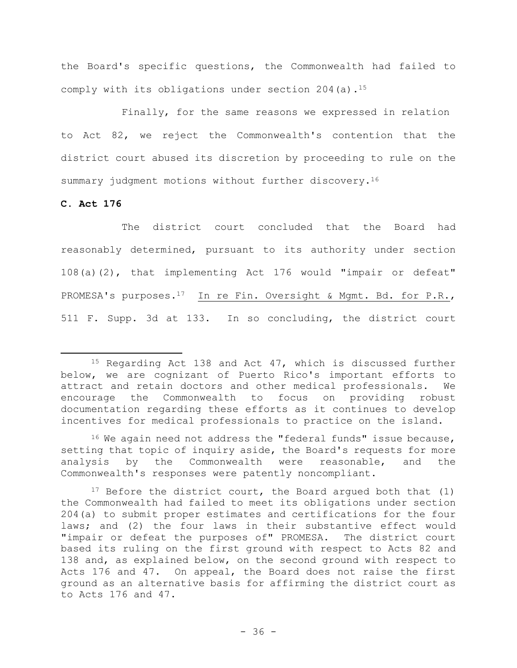the Board's specific questions, the Commonwealth had failed to comply with its obligations under section  $204$  (a).<sup>15</sup>

Finally, for the same reasons we expressed in relation to Act 82, we reject the Commonwealth's contention that the district court abused its discretion by proceeding to rule on the summary judgment motions without further discovery.<sup>16</sup>

# **C. Act 176**

The district court concluded that the Board had reasonably determined, pursuant to its authority under section 108(a)(2), that implementing Act 176 would "impair or defeat" PROMESA's purposes.<sup>17</sup>In re Fin. Oversight & Mgmt. Bd. for P.R., 511 F. Supp. 3d at 133.In so concluding, the district court

<sup>&</sup>lt;sup>15</sup> Regarding Act 138 and Act 47, which is discussed further below, we are cognizant of Puerto Rico's important efforts to attract and retain doctors and other medical professionals. We encourage the Commonwealth to focus on providing robust documentation regarding these efforts as it continues to develop incentives for medical professionals to practice on the island.

 $16$  We again need not address the "federal funds" issue because, setting that topic of inquiry aside, the Board's requests for more analysis by the Commonwealth were reasonable, and the Commonwealth's responses were patently noncompliant.

<sup>&</sup>lt;sup>17</sup> Before the district court, the Board argued both that  $(1)$ the Commonwealth had failed to meet its obligations under section 204(a) to submit proper estimates and certifications for the four laws; and (2) the four laws in their substantive effect would "impair or defeat the purposes of" PROMESA. The district court based its ruling on the first ground with respect to Acts 82 and 138 and, as explained below, on the second ground with respect to Acts 176 and 47. On appeal, the Board does not raise the first ground as an alternative basis for affirming the district court as to Acts 176 and 47.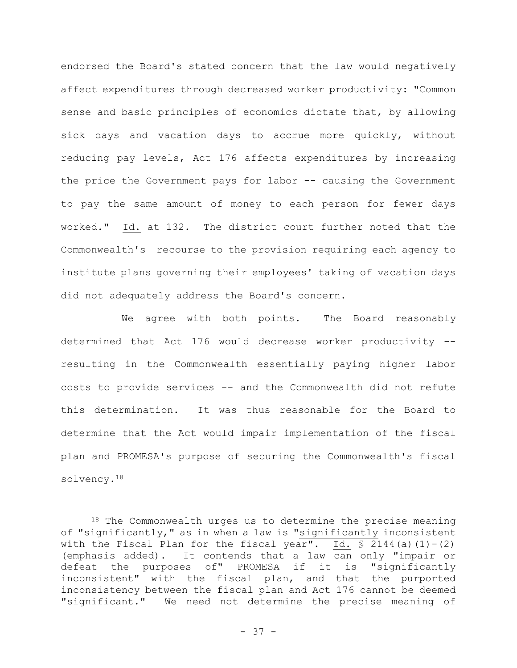endorsed the Board's stated concern that the law would negatively affect expenditures through decreased worker productivity: "Common sense and basic principles of economics dictate that, by allowing sick days and vacation days to accrue more quickly, without reducing pay levels, Act 176 affects expenditures by increasing the price the Government pays for labor -- causing the Government to pay the same amount of money to each person for fewer days worked." Id. at 132. The district court further noted that the Commonwealth's recourse to the provision requiring each agency to institute plans governing their employees' taking of vacation days did not adequately address the Board's concern.

We agree with both points. The Board reasonably determined that Act 176 would decrease worker productivity - resulting in the Commonwealth essentially paying higher labor costs to provide services -- and the Commonwealth did not refute this determination. It was thus reasonable for the Board to determine that the Act would impair implementation of the fiscal plan and PROMESA's purpose of securing the Commonwealth's fiscal solvency.<sup>18</sup>

<sup>18</sup> The Commonwealth urges us to determine the precise meaning of "significantly," as in when a law is "significantly inconsistent with the Fiscal Plan for the fiscal year". Id.  $\frac{1}{5}$  2144(a)(1)-(2) (emphasis added). It contends that a law can only "impair or defeat the purposes of" PROMESA if it is "significantly inconsistent" with the fiscal plan, and that the purported inconsistency between the fiscal plan and Act 176 cannot be deemed "significant." We need not determine the precise meaning of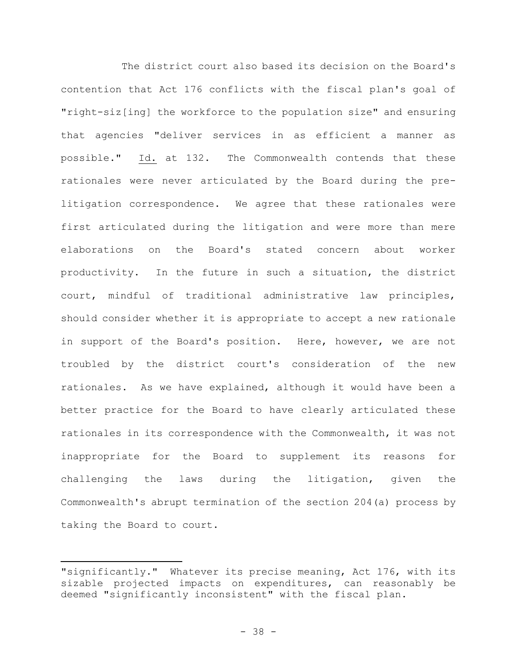The district court also based its decision on the Board's contention that Act 176 conflicts with the fiscal plan's goal of "right-siz[ing] the workforce to the population size" and ensuring that agencies "deliver services in as efficient a manner as possible." Id. at 132. The Commonwealth contends that these rationales were never articulated by the Board during the prelitigation correspondence. We agree that these rationales were first articulated during the litigation and were more than mere elaborations on the Board's stated concern about worker productivity. In the future in such a situation, the district court, mindful of traditional administrative law principles, should consider whether it is appropriate to accept a new rationale in support of the Board's position. Here, however, we are not troubled by the district court's consideration of the new rationales. As we have explained, although it would have been a better practice for the Board to have clearly articulated these rationales in its correspondence with the Commonwealth, it was not inappropriate for the Board to supplement its reasons for challenging the laws during the litigation, given the Commonwealth's abrupt termination of the section 204(a) process by taking the Board to court.

<sup>&</sup>quot;significantly." Whatever its precise meaning, Act 176, with its sizable projected impacts on expenditures, can reasonably be deemed "significantly inconsistent" with the fiscal plan.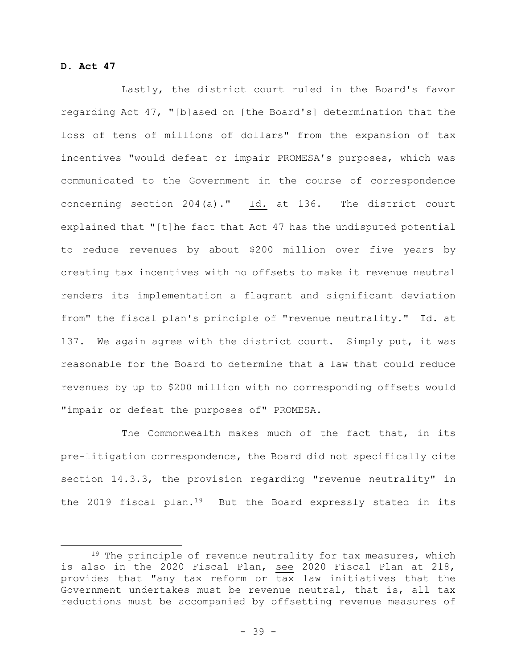# **D. Act 47**

Lastly, the district court ruled in the Board's favor regarding Act 47, "[b]ased on [the Board's] determination that the loss of tens of millions of dollars" from the expansion of tax incentives "would defeat or impair PROMESA's purposes, which was communicated to the Government in the course of correspondence concerning section 204(a)." Id. at 136. The district court explained that "[t]he fact that Act 47 has the undisputed potential to reduce revenues by about \$200 million over five years by creating tax incentives with no offsets to make it revenue neutral renders its implementation a flagrant and significant deviation from" the fiscal plan's principle of "revenue neutrality." Id. at 137. We again agree with the district court. Simply put, it was reasonable for the Board to determine that a law that could reduce revenues by up to \$200 million with no corresponding offsets would "impair or defeat the purposes of" PROMESA.

The Commonwealth makes much of the fact that, in its pre-litigation correspondence, the Board did not specifically cite section 14.3.3, the provision regarding "revenue neutrality" in the 2019 fiscal plan.<sup>19</sup> But the Board expressly stated in its

<sup>&</sup>lt;sup>19</sup> The principle of revenue neutrality for tax measures, which is also in the 2020 Fiscal Plan, see 2020 Fiscal Plan at 218, provides that "any tax reform or tax law initiatives that the Government undertakes must be revenue neutral, that is, all tax reductions must be accompanied by offsetting revenue measures of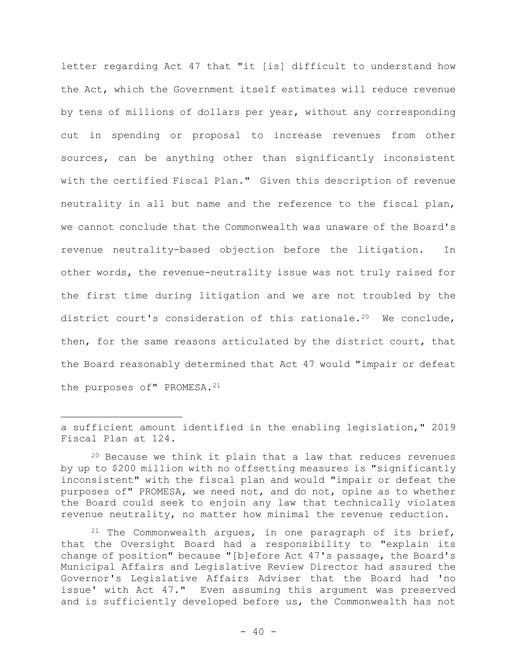letter regarding Act 47 that "it [is] difficult to understand how the Act, which the Government itself estimates will reduce revenue by tens of millions of dollars per year, without any corresponding cut in spending or proposal to increase revenues from other sources, can be anything other than significantly inconsistent with the certified Fiscal Plan." Given this description of revenue neutrality in all but name and the reference to the fiscal plan, we cannot conclude that the Commonwealth was unaware of the Board's revenue neutrality-based objection before the litigation. In other words, the revenue-neutrality issue was not truly raised for the first time during litigation and we are not troubled by the district court's consideration of this rationale.<sup>20</sup> We conclude, then, for the same reasons articulated by the district court, that the Board reasonably determined that Act 47 would "impair or defeat the purposes of" PROMESA.<sup>21</sup>

a sufficient amount identified in the enabling legislation," 2019 Fiscal Plan at 124.

 $20$  Because we think it plain that a law that reduces revenues by up to \$200 million with no offsetting measures is "significantly inconsistent" with the fiscal plan and would "impair or defeat the purposes of" PROMESA, we need not, and do not, opine as to whether the Board could seek to enjoin any law that technically violates revenue neutrality, no matter how minimal the revenue reduction.

 $21$  The Commonwealth argues, in one paragraph of its brief, that the Oversight Board had a responsibility to "explain its change of position" because "[b]efore Act 47's passage, the Board's Municipal Affairs and Legislative Review Director had assured the Governor's Legislative Affairs Adviser that the Board had 'no issue' with Act 47." Even assuming this argument was preserved and is sufficiently developed before us, the Commonwealth has not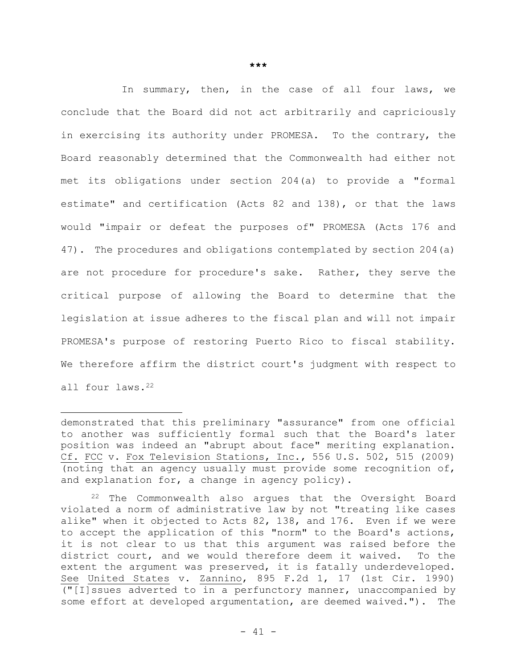In summary, then, in the case of all four laws, we conclude that the Board did not act arbitrarily and capriciously in exercising its authority under PROMESA. To the contrary, the Board reasonably determined that the Commonwealth had either not met its obligations under section 204(a) to provide a "formal estimate" and certification (Acts 82 and 138), or that the laws would "impair or defeat the purposes of" PROMESA (Acts 176 and 47). The procedures and obligations contemplated by section 204(a) are not procedure for procedure's sake. Rather, they serve the critical purpose of allowing the Board to determine that the legislation at issue adheres to the fiscal plan and will not impair PROMESA's purpose of restoring Puerto Rico to fiscal stability. We therefore affirm the district court's judgment with respect to all four laws.<sup>22</sup>

demonstrated that this preliminary "assurance" from one official to another was sufficiently formal such that the Board's later position was indeed an "abrupt about face" meriting explanation. Cf. FCC v. Fox Television Stations, Inc., 556 U.S. 502, 515 (2009) (noting that an agency usually must provide some recognition of, and explanation for, a change in agency policy).

<sup>22</sup> The Commonwealth also argues that the Oversight Board violated a norm of administrative law by not "treating like cases alike" when it objected to Acts 82, 138, and 176. Even if we were to accept the application of this "norm" to the Board's actions, it is not clear to us that this argument was raised before the district court, and we would therefore deem it waived. To the extent the argument was preserved, it is fatally underdeveloped. See United States v. Zannino, 895 F.2d 1, 17 (1st Cir. 1990) ("[I]ssues adverted to in a perfunctory manner, unaccompanied by some effort at developed argumentation, are deemed waived."). The